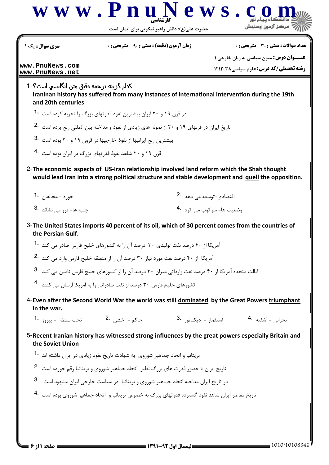

حضرت علی(ع): دانش راهبر نیکویی برای ایمان است

**سری سوال :** یک ۱

**زمان آزمون (دقیقه) : تستی : 90 ٪ تشریحی: 0** 

تعداد سوالات : تستى : 30 - تشريحي : 0

**عنــوان درس:** متون سیاسی به زبان خارجی ۱

**رشته تحصیلی/کد درس: علوم سیاسی121208** 

www.PnuNews.com www.PnuNews.net

> كدام گزينه ترجمه دقيق متن انگليسي است؟ -1 Iraninan history has suffered from many instances of international intervention during the 19th and 20th centuries

در قرن ۱۹ و ۲۰ ایران بیشترین نفوذ قدرتهای بزرگ را تجربه کرده است **1۰** 

تاریخ ایران در قرنهای ۱۹ و ۲۰ از نمونه های زیادی از نفوذ و مداخله بین المللی رنج برده است .2

بیشترین رنج ایرانیها از نفوذ خارجیها در قرون ۱۹ و ۲۰ بوده است .3

- قرن ١٩ و ٢٠ شاهد نفوذ قدرتهاى بزرگ در ايران بوده است 4
- 2- The economic aspects of US-Iran relationship involved land reform which the Shah thought would lead Iran into a strong political structure and stable development and guell the opposition.

| حوزه - مخالفان <b>1</b> ۰ | اقتصادی-توسعه می دهد <sup>.2</sup>    |
|---------------------------|---------------------------------------|
| 3. جنبه ها- فرو می نشاند  | وضعیت ها- سرکوب می کرد <sup>4</sup> ۰ |

- 3- The United States imports 40 percent of its oil, which of 30 percent comes from the countries of the Persian Gulf.
	- آمریکا از ۴۰ درصد نفت تولیدی ۳۰ درصد آن را به کشورهای خلیج فارس صادر مے, کند 1۰
	- آمریکا از ۴۰ درصد نفت مورد نیاز ۳۰ درصد آن را از منطقه خلیج فارس وارد می کند .2

ایالت متحده آمریکا از ۴۰ درصد نفت وارداتی میزان ۳۰ درصد آن را از کشورهای خلیج فارس تامین می کند 8.

کشورهای خلیج فارس ۳۰ درصد از نفت صادراتی را به امریکا ارسال می کنند <sup>4</sup>۰

- 4- Even after the Second World War the world was still dominated by the Great Powers triumphant in the war.
	- استثما<sub>ر</sub> – دیکتاتو, .3 بحراني - آشفته .4
- 5- Recent Iranian history has witnessed strong influences by the great powers especially Britain and the Soviet Union
	- بریتانیا و اتحاد جماهیر شوروی به شهادت تاریخ نفوذ زیادی در ایران داشته اند 1۰
	- تاریخ ایران با حضور قدرت های بزرگ نظیر اتحاد جماهیر شوروی و بریتانیا رقم خورده است <sup>.2</sup>
	- در تاریخ ایران مداخله اتحاد جماهیر شوروی و بریتانیا در سیاست خارجی ایران مشهود است 3.
	- تاریخ معاصر ایران شاهد نفوذ گسترده قدرتهای بزرگ به خصوص بریتانیا و اتحاد جماهیر شوروی بوده است <sup>ـ4</sup>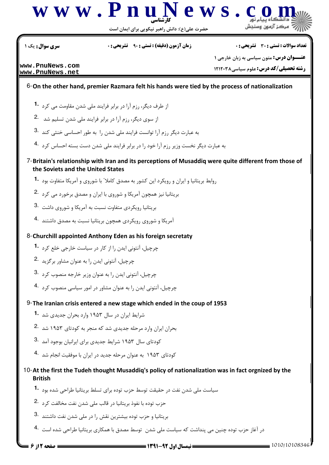

حضرت علی(ع): دانش راهبر نیکویی برای ایمان است

سری سوال : یک ۱

**زمان آزمون (دقیقه) : تستی : 90 ٪ تشریحی: 0** 

**تعداد سوالات : تستي : 30 ٪ تشريحي : 0** 

www.PnuNews.com www.PnuNews.net

**ـوان درس:** متون سیاسی به زبان خارجی ۱ رشته تحصیلی/کد درس: علوم سیاسی ۱۲۱۲۰۳۸

6-On the other hand, premier Razmara felt his hands were tied by the process of nationalization

- از طرف دیگر، رزم آرا در برابر فرایند ملی شدن مقاومت می کرد 1.
- از سوی دیگر، رزم آرا در برابر فرایند ملی شدن تسلیم شد 2.
- به عبارت دیگر رزم آرا توانست فرایند ملی شدن را به طور احساسی خنثی کند 3.
- به عبارت دیگر نخست وزیر رزم آرا خود را در برابر فرایند ملی شدن دست بسته احساس کرد <sup>4.</sup>
- 7-Britain's relationship with Iran and its perceptions of Musaddig were quite different from those of the Soviets and the United States
	- روابط بریتانیا و ایران و رویکرد این کشور به مصدق کاملا ّ با شوروی و آمریکا متفاوت بود **1**۰
	- بریتانیا نیز همچون آمریکا و شوروی با ایران و مصدق برخورد می کرد .2
	- بریتانیا رویکردی متفاوت نسبت به آمریکا و شوروی داشت 3.
	- آمریکا و شوروی رویکردی همچون بریتانیا نسبت به مصدق داشتند 4۰
- 8-Churchill appointed Anthony Eden as his foreign secretaty
	- چرچیل، آنتونی ایدن را از کار در سیاست خارجی خلع کرد 1.
	- چرچیل، آنتونی ایدن را به عنوان مشاور برگزید 2.
	- چرچیل، آنتونی ایدن را به عنوان وزیر خارجه منصوب کرد 3.
	- چرچیل، آنتونی ایدن را به عنوان مشاور در امور سیاسی منصوب کرد 4.
- $9$ -The Iranian crisis entered a new stage which ended in the coup of 1953
	- شرایط ایران در سال ۱۹۵۳ وارد بحران جدیدی شد <sup>1</sup>۰
	- بحران ایران وارد مرحله جدیدی شد که منجر به کودتای ۱۹۵۳ شد <sup>.2</sup>
	- کودتای سال ۱۹۵۳ شرایط جدیدی برای ایرانیان بوجود آمد <sup>. 3</sup>
	- کودتای ۱۹۵۳ به عنوان مرحله جدید در ایران با موفقیت انجام شد 4۰

## 10-At the first the Tudeh thought Musaddig's policy of nationalization was in fact orgnized by the **British**

- سیاست ملی شدن نفت در حقیقت توسط حزب توده برای تسلط بریتانیا طراحی شده بود 1۰
- حزب توده با نفوذ بريتانيا در قالب ملي شدن نفت مخالفت كرد <sup>2</sup>۰
- بریتانیا و حزب توده بیشترین نقش را در ملی شدن نفت داشتند .3
- در آغاز حزب توده چنین می پنداشت که سیاست ملی شدن توسط مصدق با همکاری بریتانیا طراحی شده است 4۰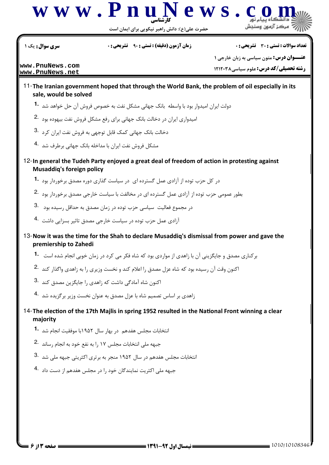

حضرت علي(ع): دانش راهبر نيكويي براي ايمان است

سری سوال: یک ۱

**زمان آزمون (دقیقه) : تستی : ۹۰٪ تشریحی: .** 

**تعداد سوالات : تستي : 30 - تشريحي : 0** 

www.PnuNews.com www.PnuNews.net

**ـوان درس:** متون سیاسی به زبان خارجی ۱ **رشته تحصیلی/کد درس:** علوم سیاسی ۱۲۱۲۰۳۸

- 11-The Iranian government hoped that through the World Bank, the problem of oil especially in its sale, would be solved
	- دولت ایران امیدوار بود با واسطه بانک جهانی مشکل نفت به خصوص فروش آن حل خواهد شد 1
	- امیدواری ایران در دخالت بانک جهانی برای رفع مشکل فروش نفت بیهوده بود .2
	- دخالت بانک جهانی کمک قابل توجهی به فروش نفت ایران کرد 3.
	- مشکل فروش نفت ایران با مداخله بانک جهانی , رطرف شد <sup>.4</sup>
- 12-In general the Tudeh Party enioved a great deal of freedom of action in protesting against **Musaddig's foreign policy** 
	- در کل حزب توده از آزادی عمل گسترده ای در سیاست گذاری دوره مصدق برخوردار بود **1**
	- بطور عمومی حزب توده از آزادی عمل گسترده ای در مخالفت با سیاست خارجی مصدق برخوردار بود 2.
	- در مجموع فعالیت سیاسی حزب توده در زمان مصدق به حداقل رسیده بود 3.
	- آزادی عمل حزب توده در سیاست خارجی مصدق تاثیر بسزایی داشت 4.
- 13- Now it was the time for the Shah to declare Musaddiq's dismissal from power and gave the premiership to Zahedi
	- برکناری مصدق و جایگزینی آن با زاهدی از مواردی بود که شاه فکر می کرد در زمان خوبی انجام شده است <sup>1</sup>۰
	- اکنون وقت آن رسیده بود که شاه عزل مصدق را اعلام کند و نخست وزیری را به زاهدی واگذار کند <sup>.2</sup>
	- اکنون شاه آمادگی داشت که زاهدی را جایگزین مصدق کند 8.
	- زاهدی بر اساس تصمیم شاه با عزل مصدق به عنوان نخست وزیر بر گزیده شد 4.
- 14-The election of the 17th Majlis in spring 1952 resulted in the National Front winning a clear maiority
	- انتخابات مجلس هفدهم ٍ در بهار سال ۱۹۵۲با موفقیت انجام شد ۔1
	- جبهه ملی انتخابات مجلس ١٧ را به نفع خود به انجام رساند 2.
	- انتخابات مجلس هفدهم در سال ۱۹۵۲ منجر به برتری اکثریتی جبهه ملی شد .3
	- جبهه ملی اکثریت نمایندگان خود را در مجلس هفدهم از دست داد 4.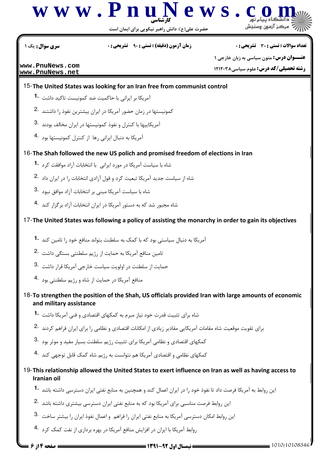

حضرت علي(ع): دانش راهبر نيكويي براي ايمان است

نعداد سوالات : تستي : 30 ٪ تشريحي : . زمان آزمون (دقيقه) : تستي : 90 ٪ تشريحي : 0 ٪ سري سوال : يك 1

**[www.PnuNews.com](http://pnunews.com) [www.PnuNews.net](http://pnunews.net)**

**عنـــوان درس:** متون سیاسی به زبان خارجی ۱ **رشته تحصیلی/کد درس: علوم سیاسی121208** 

15- The United States was looking for an Iran free from communist control

- آمریکا بر ایرانی با حاکمیت ضد کمونیست تاکید داشت **1۰**
- کمونیستها در زمان حضور آمریکا در ایران بیشترین نفوذ را داشتند <sup>.2</sup>
- .<br>آمریکاییها با کنترل و نفوذ کمونیستها در ایران مخالف بودند  $\cdot$ 3
- .<br>آمریکا به دنبال ایرانی رها از کنترل کمونیستها بود 4۰

16- The Shah followed the new US polich and promised freedom of elections in Iran

- شاه با سیاست آمریکا در مورد ایرانی با انتخابات آزاد موافقت کرد **1۰**
- شاه از سیاست جدید آمریکا تبعیت کرد و قول آزادی انتخابات را در ایران داد .2
- شاه با سیاست آمریکا مبنی بر انتخابات آزاد موافق نبود  $\cdot$ 3
- شاه مجبور شد که به دستور آمریکا در ایران انتخابات آزاد برگزار کند <sup>۹۰</sup>۰

17-The United States was following a policy of assisting the monarchy in order to gain its objectives

- .<br>آمریکا به دنبال سیاستی بود که با کمک به سلطنت بتواند منافع خود را تامین کند **1**۰
- ۔<br>تامین منافع آمریکا به حمایت از رژیم سلطنتی بستگی داشت  $\,$  -2
- حمايت از سلطنت در اولويت سياست خارجي آمريكا قرار داشت  $\cdot$ 3
- منافع آمریکا در حمایت از شاه و رژیم سلطنتی بود <sup>۹</sup>۰

18-To strengthen the position of the Shah, US officials provided Iran with large amounts of economic and military assistance

- شاه برای تثبیت قدرت خود نیاز مبرم به کمکهای اقتصادی و فنی آمریکا داشت **1۰**
- برای تقویت موقعیت شاه مقامات آمریکایی مقادیر زیادی از امکانات اقتصادی و نظامی را برای ایران فراهم کردند <sup>2</sup>۰
- 3. كمكهای اقتصادی و نظامی آمریكا برای تثبیت رژیم سلطنت بسیار مفید و موثر بود
- کمکهای نظامی و اقتصادی آمریکا هم نتوانست به رژیم شاه کمک قابل توجهی کند <sup>۹۰</sup>۰

## 19-This relationship allowed the United States to exert influence on Iran as well as having access to Iranian oil

- ین روابط به آمریکا فرصت داد تا نفوذ خود را در ایران اعمال کند و همچنین به منابع نفتی ایران دسترسی داشته باشد **1**
- ین روابط فرصت مناسبی برای آمریکا بود که به منابع نفتی ایران دسترسی بیشتری داشته باشد <sup>.2</sup>
- 3. این روابط امکان دسترسی آمریکا به منابع نفتی ایران را فراهم و اعمال نفوذ ایران را بیشتر ساخت $\cdot$
- روابط آمریکا با ایران در افزایش منافع آمریکا در بهره برداری از نفت کمک کرد <sup>۹۰</sup>۰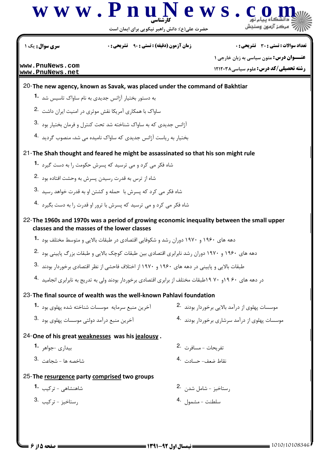

حضرت علی(ع): دانش راهبر نیکویی برای ایمان است

سری سوال : یک ۱

**زمان آزمون (دقیقه) : تستی : ۹۰٪ تشریحی: .** 

**تعداد سوالات : تستي : 30 - تشريحي : 0** 

www.PnuNews.com www.PnuNews.net

**عنــوان درس:** متون سیاسی به زبان خارجی ۱ **رشته تحصیلی/کد درس:** علوم سیاسی ۱۲۱۲۰۳۸

20-The new agency, known as Savak, was placed under the command of Bakhtiar

- به دستور بختیار آژانس جدیدی به نام ساواک تاسیس شد 1.
- ساواک با همکاری آمریکا نقش موثری در امنیت ایران داشت 2.
- آژانس جدیدی که به ساواک شناخته شد تحت کنترل و فرمان بختیار بود 3.
- بختیار به ریاست آژانس جدیدی که ساواک نامیده می شد، منصوب گردند 4.

21-The Shah thought and feared he might be assassinated so that his son might rule

- شاه فکر می کرد و می ترسید که پسرش حکومت را به دست گیرد 1.
- شاه از ترس به قدرت رسیدن پسرش به وحشت افتاده بود 2.
- شاه فکر می کرد که پسرش با حمله و کشتن او به قدرت خواهد رسید 3.
- شاه فکر می کرد و می ترسید که پسرش با ترور او قدرت را به دست بگیرد 4.

22-The 1960s and 1970s was a period of growing economic inequality between the small upper classes and the masses of the lower classes

- دهه های ۱۹۶۰ و ۱۹۷۰ دوران رشد و شکوفایی اقتصادی در طبقات بالایی و متوسط مختلف بود **1**۰
- دهه های ۱۹۶۰ و ۱۹۷۰ دوران رشد نابرابری اقتصادی بین طبقات کوچک بالایی و طبقات بزرگ پایینی بود <sup>.2</sup>
- طبقات بالایی و پایینی در دهه های ۱۹۶۰ و ۱۹۷۰ از اختلاف فاحشی از نظر اقتصادی برخوردار بودند 3.
- در دهه های ۶۰ ۱۹و ۷۰ ۱۹طبقات مختلف از برابری اقتصادی برخوردار بودند ولی به تدریج به نابرابری انجامید 4۰

## 23-The final source of wealth was the well-known Pahlavi foundation

- آخرین منبع سرمایه موسسات شناخته شده یهلوی بود 1. موسسات پهلوی از درآمد بالایی برخوردار بودند 2. موسسات پهلوی از درآمد سرشاری برخوردار بودند 4.
- 3. آخرین منبع درآمد دولتی موسسات پهلوی بود
- 
- 24-One of his great weaknesses was his jealousy.
	- تفريحات مسافرت 2. بیداری –جواهر **1**۰
	- شاخصه ها شحاعت <sup>.3</sup>
- 
- نقاط ضعف- حسادت . 4

## 25-The resurgence party comprised two groups

شاهنشاهي - تركيب **1**۰

3. ستاخيز - تركىب,

رستاخيز - شامل شدن .2 سلطنت - مشمول 4.